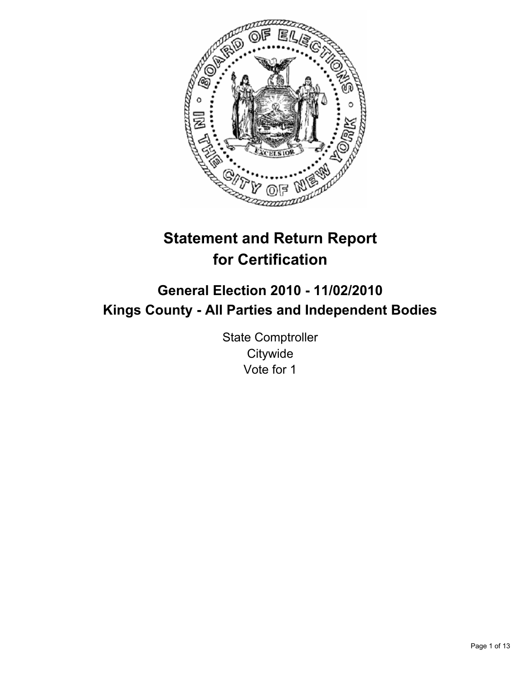

# **Statement and Return Report for Certification**

# **General Election 2010 - 11/02/2010 Kings County - All Parties and Independent Bodies**

State Comptroller **Citywide** Vote for 1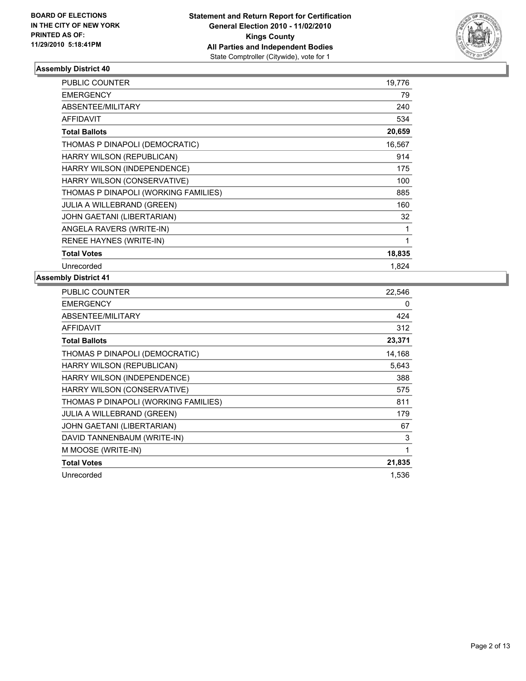

| <b>PUBLIC COUNTER</b>                | 19,776 |
|--------------------------------------|--------|
| <b>EMERGENCY</b>                     | 79     |
| <b>ABSENTEE/MILITARY</b>             | 240    |
| <b>AFFIDAVIT</b>                     | 534    |
| <b>Total Ballots</b>                 | 20,659 |
| THOMAS P DINAPOLI (DEMOCRATIC)       | 16,567 |
| HARRY WILSON (REPUBLICAN)            | 914    |
| HARRY WILSON (INDEPENDENCE)          | 175    |
| HARRY WILSON (CONSERVATIVE)          | 100    |
| THOMAS P DINAPOLI (WORKING FAMILIES) | 885    |
| JULIA A WILLEBRAND (GREEN)           | 160    |
| <b>JOHN GAETANI (LIBERTARIAN)</b>    | 32     |
| ANGELA RAVERS (WRITE-IN)             | 1      |
| RENEE HAYNES (WRITE-IN)              | 1      |
| <b>Total Votes</b>                   | 18,835 |
| Unrecorded                           | 1,824  |

| <b>PUBLIC COUNTER</b>                | 22,546 |
|--------------------------------------|--------|
| <b>EMERGENCY</b>                     | 0      |
| ABSENTEE/MILITARY                    | 424    |
| <b>AFFIDAVIT</b>                     | 312    |
| <b>Total Ballots</b>                 | 23,371 |
| THOMAS P DINAPOLI (DEMOCRATIC)       | 14,168 |
| HARRY WILSON (REPUBLICAN)            | 5,643  |
| HARRY WILSON (INDEPENDENCE)          | 388    |
| HARRY WILSON (CONSERVATIVE)          | 575    |
| THOMAS P DINAPOLI (WORKING FAMILIES) | 811    |
| <b>JULIA A WILLEBRAND (GREEN)</b>    | 179    |
| <b>JOHN GAETANI (LIBERTARIAN)</b>    | 67     |
| DAVID TANNENBAUM (WRITE-IN)          | 3      |
| M MOOSE (WRITE-IN)                   | 1      |
| <b>Total Votes</b>                   | 21,835 |
| Unrecorded                           | 1,536  |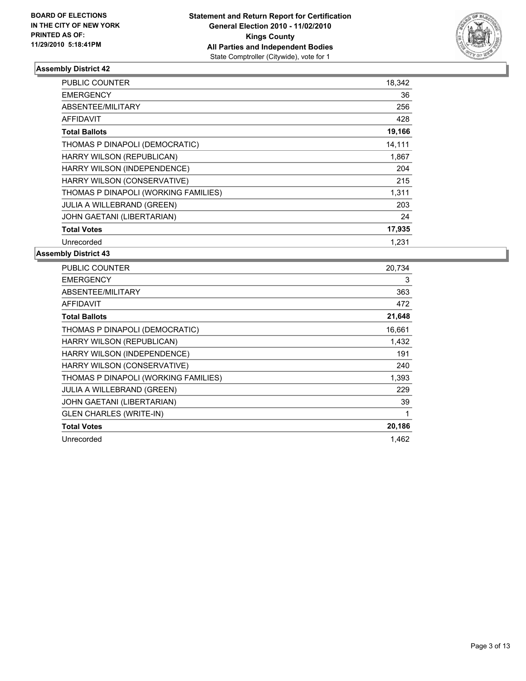

| <b>PUBLIC COUNTER</b>                | 18,342 |
|--------------------------------------|--------|
| <b>EMERGENCY</b>                     | 36     |
| ABSENTEE/MILITARY                    | 256    |
| <b>AFFIDAVIT</b>                     | 428    |
| <b>Total Ballots</b>                 | 19,166 |
| THOMAS P DINAPOLI (DEMOCRATIC)       | 14,111 |
| HARRY WILSON (REPUBLICAN)            | 1,867  |
| HARRY WILSON (INDEPENDENCE)          | 204    |
| HARRY WILSON (CONSERVATIVE)          | 215    |
| THOMAS P DINAPOLI (WORKING FAMILIES) | 1,311  |
| <b>JULIA A WILLEBRAND (GREEN)</b>    | 203    |
| JOHN GAETANI (LIBERTARIAN)           | 24     |
| <b>Total Votes</b>                   | 17,935 |
| Unrecorded                           | 1,231  |

| PUBLIC COUNTER                       | 20,734 |
|--------------------------------------|--------|
| <b>EMERGENCY</b>                     | 3      |
| ABSENTEE/MILITARY                    | 363    |
| <b>AFFIDAVIT</b>                     | 472    |
| <b>Total Ballots</b>                 | 21,648 |
| THOMAS P DINAPOLI (DEMOCRATIC)       | 16,661 |
| HARRY WILSON (REPUBLICAN)            | 1,432  |
| HARRY WILSON (INDEPENDENCE)          | 191    |
| HARRY WILSON (CONSERVATIVE)          | 240    |
| THOMAS P DINAPOLI (WORKING FAMILIES) | 1,393  |
| <b>JULIA A WILLEBRAND (GREEN)</b>    | 229    |
| JOHN GAETANI (LIBERTARIAN)           | 39     |
| <b>GLEN CHARLES (WRITE-IN)</b>       | 1      |
| <b>Total Votes</b>                   | 20,186 |
| Unrecorded                           | 1,462  |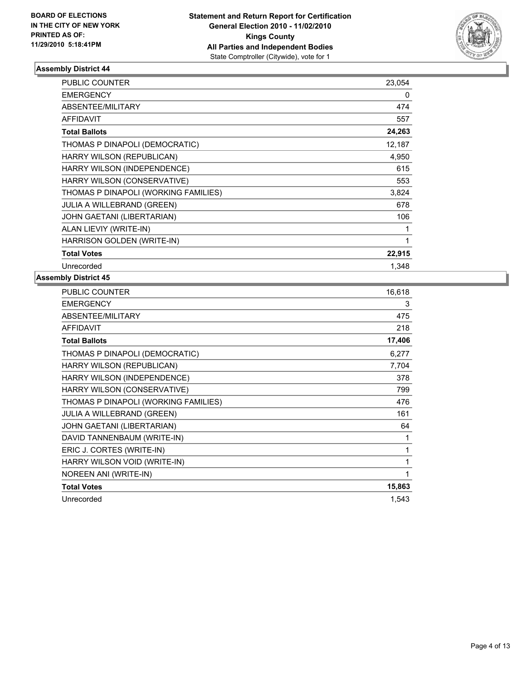

| <b>PUBLIC COUNTER</b>                | 23,054 |
|--------------------------------------|--------|
| <b>EMERGENCY</b>                     | 0      |
| ABSENTEE/MILITARY                    | 474    |
| <b>AFFIDAVIT</b>                     | 557    |
| <b>Total Ballots</b>                 | 24,263 |
| THOMAS P DINAPOLI (DEMOCRATIC)       | 12,187 |
| HARRY WILSON (REPUBLICAN)            | 4,950  |
| HARRY WILSON (INDEPENDENCE)          | 615    |
| HARRY WILSON (CONSERVATIVE)          | 553    |
| THOMAS P DINAPOLI (WORKING FAMILIES) | 3,824  |
| <b>JULIA A WILLEBRAND (GREEN)</b>    | 678    |
| <b>JOHN GAETANI (LIBERTARIAN)</b>    | 106    |
| ALAN LIEVIY (WRITE-IN)               | 1      |
| HARRISON GOLDEN (WRITE-IN)           | 1      |
| <b>Total Votes</b>                   | 22,915 |
| Unrecorded                           | 1,348  |

| <b>PUBLIC COUNTER</b>                | 16,618 |
|--------------------------------------|--------|
| <b>EMERGENCY</b>                     | 3      |
| <b>ABSENTEE/MILITARY</b>             | 475    |
| <b>AFFIDAVIT</b>                     | 218    |
| <b>Total Ballots</b>                 | 17,406 |
| THOMAS P DINAPOLI (DEMOCRATIC)       | 6,277  |
| HARRY WILSON (REPUBLICAN)            | 7,704  |
| HARRY WILSON (INDEPENDENCE)          | 378    |
| HARRY WILSON (CONSERVATIVE)          | 799    |
| THOMAS P DINAPOLI (WORKING FAMILIES) | 476    |
| <b>JULIA A WILLEBRAND (GREEN)</b>    | 161    |
| JOHN GAETANI (LIBERTARIAN)           | 64     |
| DAVID TANNENBAUM (WRITE-IN)          | 1      |
| ERIC J. CORTES (WRITE-IN)            | 1      |
| HARRY WILSON VOID (WRITE-IN)         | 1      |
| NOREEN ANI (WRITE-IN)                | 1      |
| <b>Total Votes</b>                   | 15,863 |
| Unrecorded                           | 1,543  |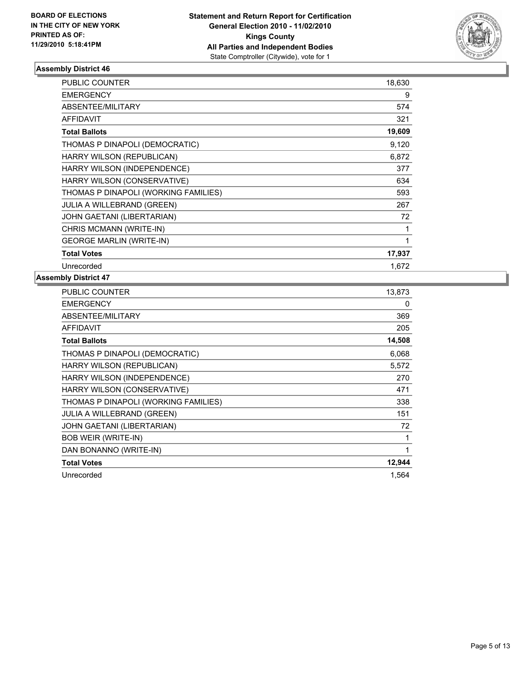

| <b>PUBLIC COUNTER</b>                | 18,630 |
|--------------------------------------|--------|
| <b>EMERGENCY</b>                     | 9      |
| <b>ABSENTEE/MILITARY</b>             | 574    |
| <b>AFFIDAVIT</b>                     | 321    |
| <b>Total Ballots</b>                 | 19,609 |
| THOMAS P DINAPOLI (DEMOCRATIC)       | 9,120  |
| HARRY WILSON (REPUBLICAN)            | 6,872  |
| HARRY WILSON (INDEPENDENCE)          | 377    |
| HARRY WILSON (CONSERVATIVE)          | 634    |
| THOMAS P DINAPOLI (WORKING FAMILIES) | 593    |
| <b>JULIA A WILLEBRAND (GREEN)</b>    | 267    |
| JOHN GAETANI (LIBERTARIAN)           | 72     |
| CHRIS MCMANN (WRITE-IN)              | 1      |
| <b>GEORGE MARLIN (WRITE-IN)</b>      | 1      |
| <b>Total Votes</b>                   | 17,937 |
| Unrecorded                           | 1.672  |

| <b>PUBLIC COUNTER</b>                | 13,873 |
|--------------------------------------|--------|
| <b>EMERGENCY</b>                     | 0      |
| ABSENTEE/MILITARY                    | 369    |
| <b>AFFIDAVIT</b>                     | 205    |
| <b>Total Ballots</b>                 | 14,508 |
| THOMAS P DINAPOLI (DEMOCRATIC)       | 6,068  |
| HARRY WILSON (REPUBLICAN)            | 5,572  |
| HARRY WILSON (INDEPENDENCE)          | 270    |
| HARRY WILSON (CONSERVATIVE)          | 471    |
| THOMAS P DINAPOLI (WORKING FAMILIES) | 338    |
| <b>JULIA A WILLEBRAND (GREEN)</b>    | 151    |
| <b>JOHN GAETANI (LIBERTARIAN)</b>    | 72     |
| <b>BOB WEIR (WRITE-IN)</b>           | 1      |
| DAN BONANNO (WRITE-IN)               | 1      |
| <b>Total Votes</b>                   | 12,944 |
| Unrecorded                           | 1,564  |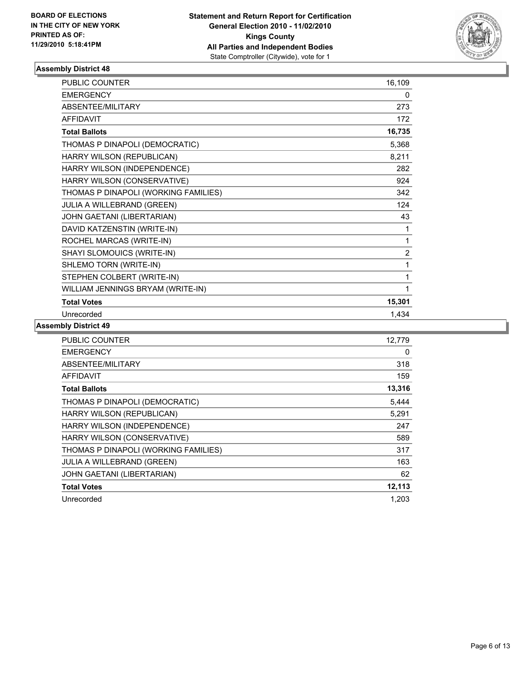

| <b>PUBLIC COUNTER</b>                | 16,109         |
|--------------------------------------|----------------|
| <b>EMERGENCY</b>                     | 0              |
| ABSENTEE/MILITARY                    | 273            |
| <b>AFFIDAVIT</b>                     | 172            |
| <b>Total Ballots</b>                 | 16,735         |
| THOMAS P DINAPOLI (DEMOCRATIC)       | 5,368          |
| HARRY WILSON (REPUBLICAN)            | 8,211          |
| HARRY WILSON (INDEPENDENCE)          | 282            |
| HARRY WILSON (CONSERVATIVE)          | 924            |
| THOMAS P DINAPOLI (WORKING FAMILIES) | 342            |
| JULIA A WILLEBRAND (GREEN)           | 124            |
| JOHN GAETANI (LIBERTARIAN)           | 43             |
| DAVID KATZENSTIN (WRITE-IN)          | 1              |
| ROCHEL MARCAS (WRITE-IN)             | 1              |
| SHAYI SLOMOUICS (WRITE-IN)           | $\overline{2}$ |
| SHLEMO TORN (WRITE-IN)               | 1              |
| STEPHEN COLBERT (WRITE-IN)           | 1              |
| WILLIAM JENNINGS BRYAM (WRITE-IN)    | 1              |
| <b>Total Votes</b>                   | 15,301         |
| Unrecorded                           | 1,434          |

| <b>PUBLIC COUNTER</b>                | 12.779 |
|--------------------------------------|--------|
| <b>EMERGENCY</b>                     | 0      |
| ABSENTEE/MILITARY                    | 318    |
| <b>AFFIDAVIT</b>                     | 159    |
| <b>Total Ballots</b>                 | 13,316 |
| THOMAS P DINAPOLI (DEMOCRATIC)       | 5.444  |
| HARRY WILSON (REPUBLICAN)            | 5,291  |
| HARRY WILSON (INDEPENDENCE)          | 247    |
| HARRY WILSON (CONSERVATIVE)          | 589    |
| THOMAS P DINAPOLI (WORKING FAMILIES) | 317    |
| <b>JULIA A WILLEBRAND (GREEN)</b>    | 163    |
| JOHN GAETANI (LIBERTARIAN)           | 62     |
| <b>Total Votes</b>                   | 12,113 |
| Unrecorded                           | 1,203  |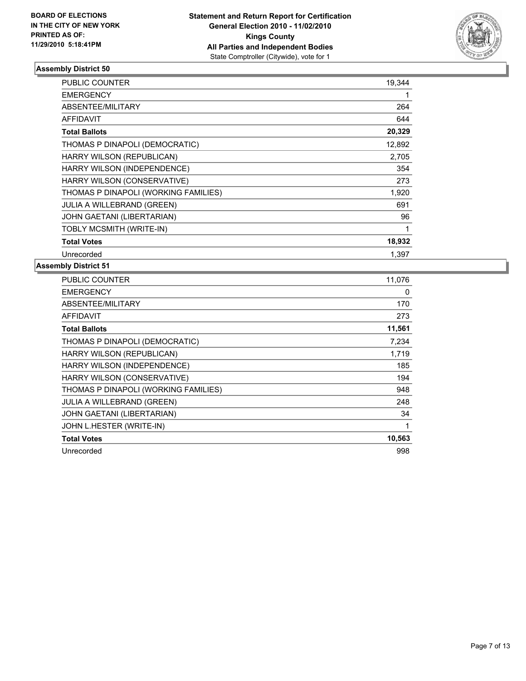

| <b>PUBLIC COUNTER</b>                | 19,344 |
|--------------------------------------|--------|
| <b>EMERGENCY</b>                     |        |
| <b>ABSENTEE/MILITARY</b>             | 264    |
| <b>AFFIDAVIT</b>                     | 644    |
| <b>Total Ballots</b>                 | 20,329 |
| THOMAS P DINAPOLI (DEMOCRATIC)       | 12,892 |
| HARRY WILSON (REPUBLICAN)            | 2,705  |
| HARRY WILSON (INDEPENDENCE)          | 354    |
| HARRY WILSON (CONSERVATIVE)          | 273    |
| THOMAS P DINAPOLI (WORKING FAMILIES) | 1,920  |
| <b>JULIA A WILLEBRAND (GREEN)</b>    | 691    |
| JOHN GAETANI (LIBERTARIAN)           | 96     |
| TOBLY MCSMITH (WRITE-IN)             | 1      |
| <b>Total Votes</b>                   | 18,932 |
| Unrecorded                           | 1.397  |

| PUBLIC COUNTER                       | 11,076 |
|--------------------------------------|--------|
| EMERGENCY                            | 0      |
| ABSENTEE/MILITARY                    | 170    |
| AFFIDAVIT                            | 273    |
| <b>Total Ballots</b>                 | 11,561 |
| THOMAS P DINAPOLI (DEMOCRATIC)       | 7,234  |
| HARRY WILSON (REPUBLICAN)            | 1,719  |
| HARRY WILSON (INDEPENDENCE)          | 185    |
| HARRY WILSON (CONSERVATIVE)          | 194    |
| THOMAS P DINAPOLI (WORKING FAMILIES) | 948    |
| <b>JULIA A WILLEBRAND (GREEN)</b>    | 248    |
| JOHN GAETANI (LIBERTARIAN)           | 34     |
| JOHN L.HESTER (WRITE-IN)             | 1      |
| <b>Total Votes</b>                   | 10,563 |
| Unrecorded                           | 998    |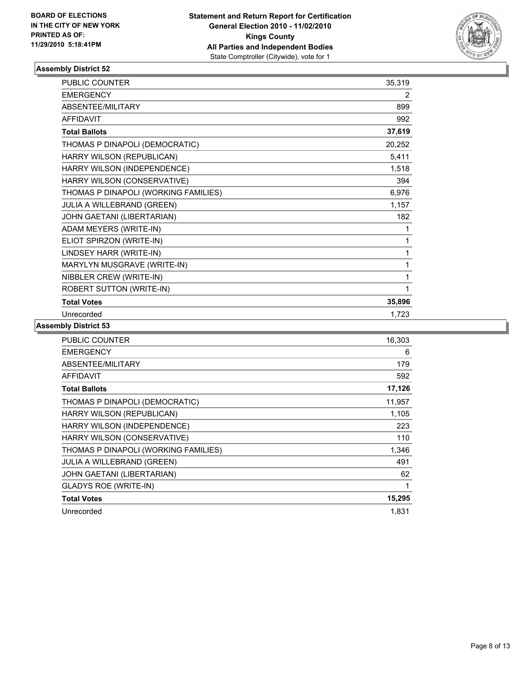

| <b>PUBLIC COUNTER</b>                | 35,319 |
|--------------------------------------|--------|
| <b>EMERGENCY</b>                     | 2      |
| <b>ABSENTEE/MILITARY</b>             | 899    |
| <b>AFFIDAVIT</b>                     | 992    |
| <b>Total Ballots</b>                 | 37,619 |
| THOMAS P DINAPOLI (DEMOCRATIC)       | 20,252 |
| HARRY WILSON (REPUBLICAN)            | 5,411  |
| HARRY WILSON (INDEPENDENCE)          | 1,518  |
| HARRY WILSON (CONSERVATIVE)          | 394    |
| THOMAS P DINAPOLI (WORKING FAMILIES) | 6,976  |
| JULIA A WILLEBRAND (GREEN)           | 1,157  |
| JOHN GAETANI (LIBERTARIAN)           | 182    |
| ADAM MEYERS (WRITE-IN)               | 1      |
| ELIOT SPIRZON (WRITE-IN)             | 1      |
| LINDSEY HARR (WRITE-IN)              | 1      |
| MARYLYN MUSGRAVE (WRITE-IN)          | 1      |
| NIBBLER CREW (WRITE-IN)              | 1      |
| ROBERT SUTTON (WRITE-IN)             | 1      |
| <b>Total Votes</b>                   | 35,896 |
| Unrecorded                           | 1,723  |

| <b>PUBLIC COUNTER</b>                | 16,303 |
|--------------------------------------|--------|
| <b>EMERGENCY</b>                     | 6      |
| <b>ABSENTEE/MILITARY</b>             | 179    |
| <b>AFFIDAVIT</b>                     | 592    |
| <b>Total Ballots</b>                 | 17,126 |
| THOMAS P DINAPOLI (DEMOCRATIC)       | 11,957 |
| HARRY WILSON (REPUBLICAN)            | 1,105  |
| HARRY WILSON (INDEPENDENCE)          | 223    |
| HARRY WILSON (CONSERVATIVE)          | 110    |
| THOMAS P DINAPOLI (WORKING FAMILIES) | 1,346  |
| <b>JULIA A WILLEBRAND (GREEN)</b>    | 491    |
| JOHN GAETANI (LIBERTARIAN)           | 62     |
| <b>GLADYS ROE (WRITE-IN)</b>         | 1      |
| <b>Total Votes</b>                   | 15,295 |
| Unrecorded                           | 1,831  |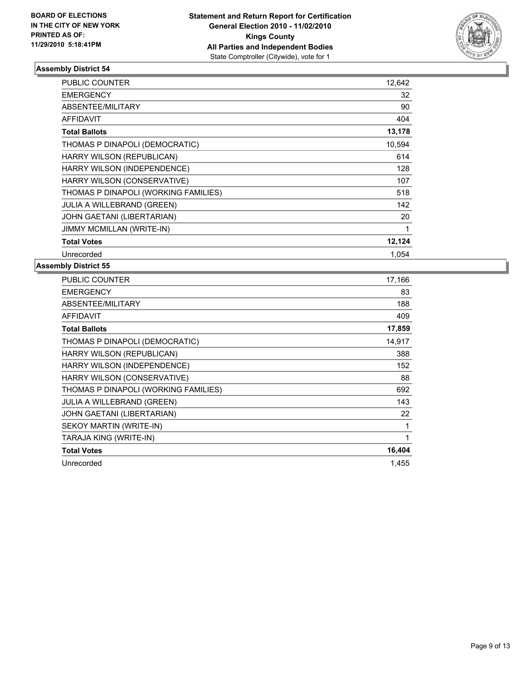

| PUBLIC COUNTER                       | 12,642 |
|--------------------------------------|--------|
| <b>EMERGENCY</b>                     | 32     |
| <b>ABSENTEE/MILITARY</b>             | 90     |
| <b>AFFIDAVIT</b>                     | 404    |
| <b>Total Ballots</b>                 | 13,178 |
| THOMAS P DINAPOLI (DEMOCRATIC)       | 10,594 |
| HARRY WILSON (REPUBLICAN)            | 614    |
| HARRY WILSON (INDEPENDENCE)          | 128    |
| HARRY WILSON (CONSERVATIVE)          | 107    |
| THOMAS P DINAPOLI (WORKING FAMILIES) | 518    |
| <b>JULIA A WILLEBRAND (GREEN)</b>    | 142    |
| JOHN GAETANI (LIBERTARIAN)           | 20     |
| <b>JIMMY MCMILLAN (WRITE-IN)</b>     | 1      |
| <b>Total Votes</b>                   | 12,124 |
| Unrecorded                           | 1.054  |

| PUBLIC COUNTER                       | 17,166 |
|--------------------------------------|--------|
| <b>EMERGENCY</b>                     | 83     |
| ABSENTEE/MILITARY                    | 188    |
| AFFIDAVIT                            | 409    |
| <b>Total Ballots</b>                 | 17,859 |
| THOMAS P DINAPOLI (DEMOCRATIC)       | 14,917 |
| HARRY WILSON (REPUBLICAN)            | 388    |
| HARRY WILSON (INDEPENDENCE)          | 152    |
| HARRY WILSON (CONSERVATIVE)          | 88     |
| THOMAS P DINAPOLI (WORKING FAMILIES) | 692    |
| JULIA A WILLEBRAND (GREEN)           | 143    |
| JOHN GAETANI (LIBERTARIAN)           | 22     |
| SEKOY MARTIN (WRITE-IN)              | 1      |
| TARAJA KING (WRITE-IN)               | 1      |
| <b>Total Votes</b>                   | 16,404 |
| Unrecorded                           | 1,455  |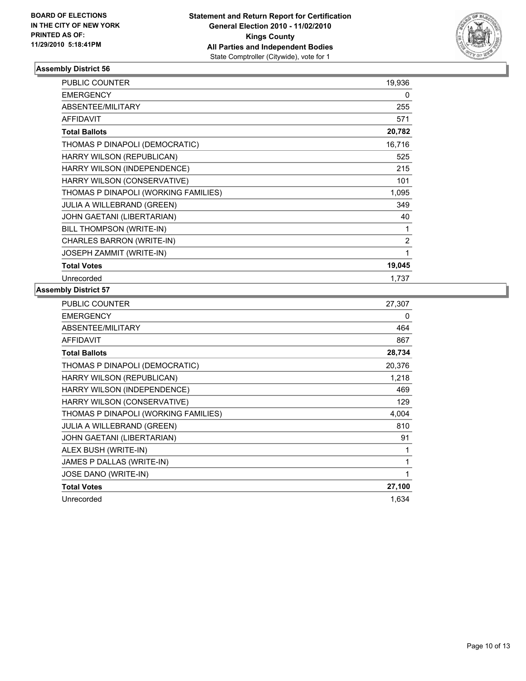

| PUBLIC COUNTER                       | 19,936         |
|--------------------------------------|----------------|
| <b>EMERGENCY</b>                     | 0              |
| ABSENTEE/MILITARY                    | 255            |
| <b>AFFIDAVIT</b>                     | 571            |
| <b>Total Ballots</b>                 | 20,782         |
| THOMAS P DINAPOLI (DEMOCRATIC)       | 16,716         |
| HARRY WILSON (REPUBLICAN)            | 525            |
| HARRY WILSON (INDEPENDENCE)          | 215            |
| HARRY WILSON (CONSERVATIVE)          | 101            |
| THOMAS P DINAPOLI (WORKING FAMILIES) | 1,095          |
| <b>JULIA A WILLEBRAND (GREEN)</b>    | 349            |
| JOHN GAETANI (LIBERTARIAN)           | 40             |
| BILL THOMPSON (WRITE-IN)             | 1              |
| CHARLES BARRON (WRITE-IN)            | $\overline{2}$ |
| JOSEPH ZAMMIT (WRITE-IN)             | 1              |
| <b>Total Votes</b>                   | 19,045         |
| Unrecorded                           | 1,737          |

| PUBLIC COUNTER                       | 27,307 |
|--------------------------------------|--------|
| <b>EMERGENCY</b>                     | 0      |
| ABSENTEE/MILITARY                    | 464    |
| <b>AFFIDAVIT</b>                     | 867    |
| <b>Total Ballots</b>                 | 28,734 |
| THOMAS P DINAPOLI (DEMOCRATIC)       | 20,376 |
| HARRY WILSON (REPUBLICAN)            | 1,218  |
| HARRY WILSON (INDEPENDENCE)          | 469    |
| HARRY WILSON (CONSERVATIVE)          | 129    |
| THOMAS P DINAPOLI (WORKING FAMILIES) | 4,004  |
| <b>JULIA A WILLEBRAND (GREEN)</b>    | 810    |
| JOHN GAETANI (LIBERTARIAN)           | 91     |
| ALEX BUSH (WRITE-IN)                 | 1      |
| JAMES P DALLAS (WRITE-IN)            | 1      |
| JOSE DANO (WRITE-IN)                 | 1      |
| <b>Total Votes</b>                   | 27,100 |
| Unrecorded                           | 1,634  |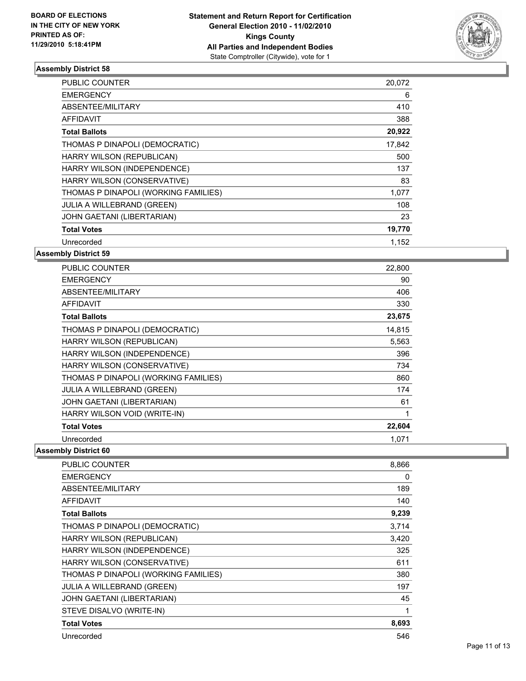

| <b>PUBLIC COUNTER</b>                | 20,072 |
|--------------------------------------|--------|
| <b>EMERGENCY</b>                     | 6      |
| ABSENTEE/MILITARY                    | 410    |
| <b>AFFIDAVIT</b>                     | 388    |
| <b>Total Ballots</b>                 | 20,922 |
| THOMAS P DINAPOLI (DEMOCRATIC)       | 17,842 |
| HARRY WILSON (REPUBLICAN)            | 500    |
| HARRY WILSON (INDEPENDENCE)          | 137    |
| HARRY WILSON (CONSERVATIVE)          | 83     |
| THOMAS P DINAPOLI (WORKING FAMILIES) | 1,077  |
| <b>JULIA A WILLEBRAND (GREEN)</b>    | 108    |
| JOHN GAETANI (LIBERTARIAN)           | 23     |
| <b>Total Votes</b>                   | 19,770 |
| Unrecorded                           | 1,152  |

# **Assembly District 59**

| <b>PUBLIC COUNTER</b>                | 22,800 |
|--------------------------------------|--------|
| <b>EMERGENCY</b>                     | 90     |
| ABSENTEE/MILITARY                    | 406    |
| <b>AFFIDAVIT</b>                     | 330    |
| <b>Total Ballots</b>                 | 23,675 |
| THOMAS P DINAPOLI (DEMOCRATIC)       | 14.815 |
| HARRY WILSON (REPUBLICAN)            | 5,563  |
| HARRY WILSON (INDEPENDENCE)          | 396    |
| HARRY WILSON (CONSERVATIVE)          | 734    |
| THOMAS P DINAPOLI (WORKING FAMILIES) | 860    |
| <b>JULIA A WILLEBRAND (GREEN)</b>    | 174    |
| JOHN GAETANI (LIBERTARIAN)           | 61     |
| HARRY WILSON VOID (WRITE-IN)         | 1      |
| <b>Total Votes</b>                   | 22,604 |
| Unrecorded                           | 1,071  |

| PUBLIC COUNTER                       | 8,866 |
|--------------------------------------|-------|
| <b>EMERGENCY</b>                     | 0     |
| <b>ABSENTEE/MILITARY</b>             | 189   |
| AFFIDAVIT                            | 140   |
| <b>Total Ballots</b>                 | 9,239 |
| THOMAS P DINAPOLI (DEMOCRATIC)       | 3,714 |
| HARRY WILSON (REPUBLICAN)            | 3,420 |
| HARRY WILSON (INDEPENDENCE)          | 325   |
| HARRY WILSON (CONSERVATIVE)          | 611   |
| THOMAS P DINAPOLI (WORKING FAMILIES) | 380   |
| <b>JULIA A WILLEBRAND (GREEN)</b>    | 197   |
| JOHN GAETANI (LIBERTARIAN)           | 45    |
| STEVE DISALVO (WRITE-IN)             | 1     |
| <b>Total Votes</b>                   | 8,693 |
| Unrecorded                           | 546   |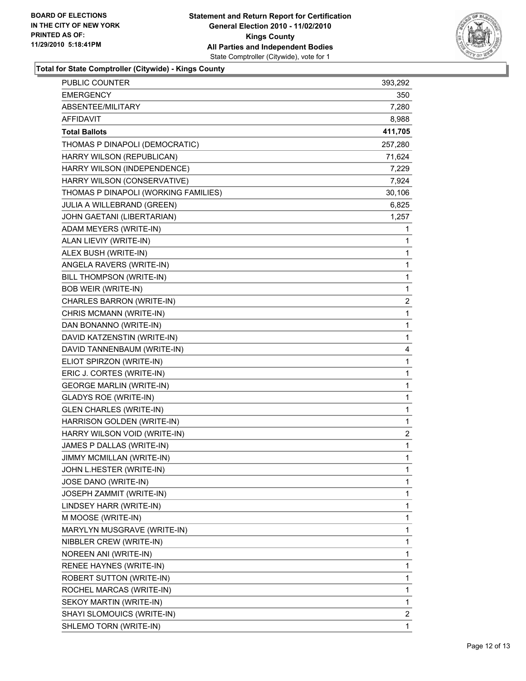

**Total for State Comptroller (Citywide) - Kings County**

| PUBLIC COUNTER                       | 393,292 |
|--------------------------------------|---------|
| <b>EMERGENCY</b>                     | 350     |
| ABSENTEE/MILITARY                    | 7,280   |
| <b>AFFIDAVIT</b>                     | 8,988   |
| <b>Total Ballots</b>                 | 411,705 |
| THOMAS P DINAPOLI (DEMOCRATIC)       | 257,280 |
| HARRY WILSON (REPUBLICAN)            | 71,624  |
| HARRY WILSON (INDEPENDENCE)          | 7,229   |
| HARRY WILSON (CONSERVATIVE)          | 7,924   |
| THOMAS P DINAPOLI (WORKING FAMILIES) | 30,106  |
| JULIA A WILLEBRAND (GREEN)           | 6,825   |
| JOHN GAETANI (LIBERTARIAN)           | 1,257   |
| ADAM MEYERS (WRITE-IN)               | 1       |
| ALAN LIEVIY (WRITE-IN)               | 1       |
| ALEX BUSH (WRITE-IN)                 | 1       |
| ANGELA RAVERS (WRITE-IN)             | 1       |
| BILL THOMPSON (WRITE-IN)             | 1       |
| <b>BOB WEIR (WRITE-IN)</b>           | 1       |
| CHARLES BARRON (WRITE-IN)            | 2       |
| CHRIS MCMANN (WRITE-IN)              | 1       |
| DAN BONANNO (WRITE-IN)               | 1       |
| DAVID KATZENSTIN (WRITE-IN)          | 1       |
| DAVID TANNENBAUM (WRITE-IN)          | 4       |
| ELIOT SPIRZON (WRITE-IN)             | 1       |
| ERIC J. CORTES (WRITE-IN)            | 1       |
| <b>GEORGE MARLIN (WRITE-IN)</b>      | 1       |
| <b>GLADYS ROE (WRITE-IN)</b>         | 1       |
| <b>GLEN CHARLES (WRITE-IN)</b>       | 1       |
| HARRISON GOLDEN (WRITE-IN)           | 1       |
| HARRY WILSON VOID (WRITE-IN)         | 2       |
| JAMES P DALLAS (WRITE-IN)            | 1       |
| <b>JIMMY MCMILLAN (WRITE-IN)</b>     | 1       |
| JOHN L.HESTER (WRITE-IN)             | 1       |
| JOSE DANO (WRITE-IN)                 | 1       |
| JOSEPH ZAMMIT (WRITE-IN)             | 1       |
| LINDSEY HARR (WRITE-IN)              | 1       |
| M MOOSE (WRITE-IN)                   | 1       |
| MARYLYN MUSGRAVE (WRITE-IN)          | 1       |
| NIBBLER CREW (WRITE-IN)              | 1       |
| NOREEN ANI (WRITE-IN)                | 1       |
| RENEE HAYNES (WRITE-IN)              | 1       |
| ROBERT SUTTON (WRITE-IN)             | 1       |
| ROCHEL MARCAS (WRITE-IN)             | 1       |
| SEKOY MARTIN (WRITE-IN)              | 1       |
| SHAYI SLOMOUICS (WRITE-IN)           | 2       |
| SHLEMO TORN (WRITE-IN)               | 1       |